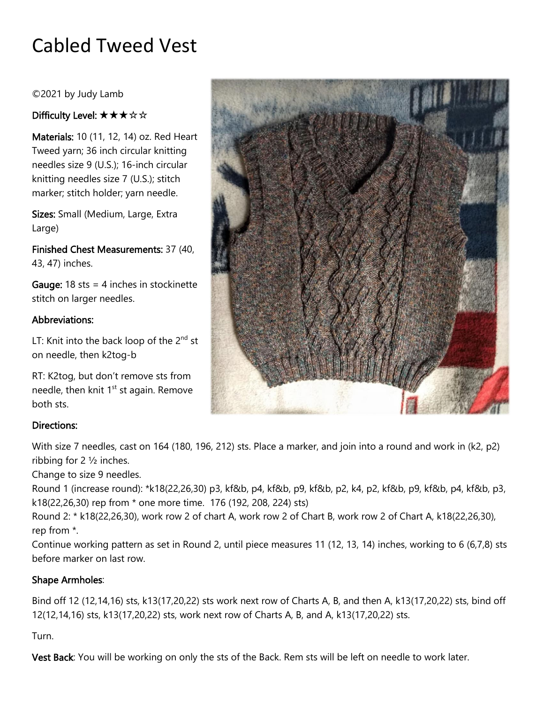# Cabled Tweed Vest

©2021 by Judy Lamb

## Difficulty Level: ★★★☆☆

Materials: 10 (11, 12, 14) oz. Red Heart Tweed yarn; 36 inch circular knitting needles size 9 (U.S.); 16-inch circular knitting needles size 7 (U.S.); stitch marker; stitch holder; yarn needle.

Sizes: Small (Medium, Large, Extra Large)

Finished Chest Measurements: 37 (40, 43, 47) inches.

**Gauge:** 18 sts = 4 inches in stockinette stitch on larger needles.

#### Abbreviations:

LT: Knit into the back loop of the  $2^{nd}$  st on needle, then k2tog-b

RT: K2tog, but don't remove sts from needle, then knit  $1<sup>st</sup>$  st again. Remove both sts.

### Directions:

With size 7 needles, cast on 164 (180, 196, 212) sts. Place a marker, and join into a round and work in (k2, p2) ribbing for 2 ½ inches.

Change to size 9 needles.

Round 1 (increase round): \*k18(22,26,30) p3, kf&b, p4, kf&b, p9, kf&b, p2, k4, p2, kf&b, p9, kf&b, p4, kf&b, p3, k18(22,26,30) rep from \* one more time. 176 (192, 208, 224) sts)

Round 2: \* k18(22,26,30), work row 2 of chart A, work row 2 of Chart B, work row 2 of Chart A, k18(22,26,30), rep from \*.

Continue working pattern as set in Round 2, until piece measures 11 (12, 13, 14) inches, working to 6 (6,7,8) sts before marker on last row.

### Shape Armholes:

Bind off 12 (12,14,16) sts, k13(17,20,22) sts work next row of Charts A, B, and then A, k13(17,20,22) sts, bind off 12(12,14,16) sts, k13(17,20,22) sts, work next row of Charts A, B, and A, k13(17,20,22) sts.

### Turn.

Vest Back: You will be working on only the sts of the Back. Rem sts will be left on needle to work later.

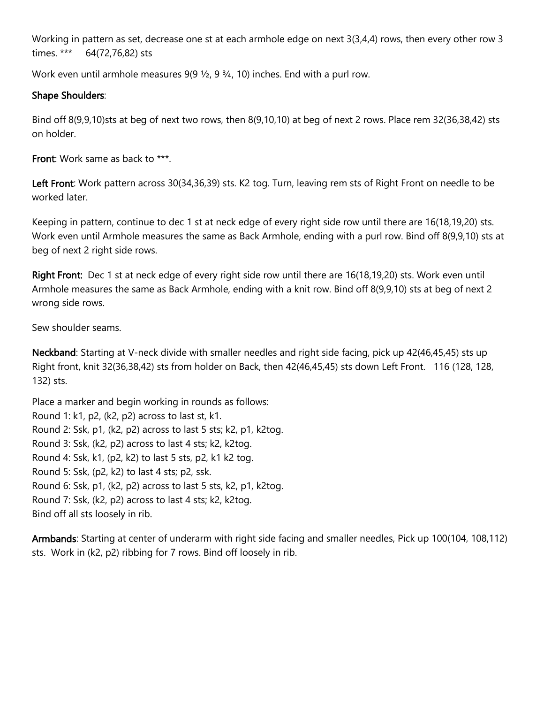Working in pattern as set, decrease one st at each armhole edge on next 3(3,4,4) rows, then every other row 3 times. \*\*\* 64(72,76,82) sts

Work even until armhole measures 9(9  $\frac{1}{2}$ , 9  $\frac{3}{4}$ , 10) inches. End with a purl row.

#### Shape Shoulders:

Bind off 8(9,9,10)sts at beg of next two rows, then 8(9,10,10) at beg of next 2 rows. Place rem 32(36,38,42) sts on holder.

Front: Work same as back to \*\*\*.

Left Front: Work pattern across 30(34,36,39) sts. K2 tog. Turn, leaving rem sts of Right Front on needle to be worked later.

Keeping in pattern, continue to dec 1 st at neck edge of every right side row until there are 16(18,19,20) sts. Work even until Armhole measures the same as Back Armhole, ending with a purl row. Bind off 8(9,9,10) sts at beg of next 2 right side rows.

Right Front: Dec 1 st at neck edge of every right side row until there are 16(18,19,20) sts. Work even until Armhole measures the same as Back Armhole, ending with a knit row. Bind off 8(9,9,10) sts at beg of next 2 wrong side rows.

Sew shoulder seams.

Neckband: Starting at V-neck divide with smaller needles and right side facing, pick up 42(46,45,45) sts up Right front, knit 32(36,38,42) sts from holder on Back, then 42(46,45,45) sts down Left Front. 116 (128, 128, 132) sts.

Place a marker and begin working in rounds as follows: Round 1: k1, p2, (k2, p2) across to last st, k1. Round 2: Ssk, p1, (k2, p2) across to last 5 sts; k2, p1, k2tog. Round 3: Ssk, (k2, p2) across to last 4 sts; k2, k2tog. Round 4: Ssk, k1, (p2, k2) to last 5 sts, p2, k1 k2 tog. Round 5: Ssk, (p2, k2) to last 4 sts; p2, ssk. Round 6: Ssk, p1, (k2, p2) across to last 5 sts, k2, p1, k2tog. Round 7: Ssk, (k2, p2) across to last 4 sts; k2, k2tog. Bind off all sts loosely in rib.

Armbands: Starting at center of underarm with right side facing and smaller needles, Pick up 100(104, 108,112) sts. Work in (k2, p2) ribbing for 7 rows. Bind off loosely in rib.